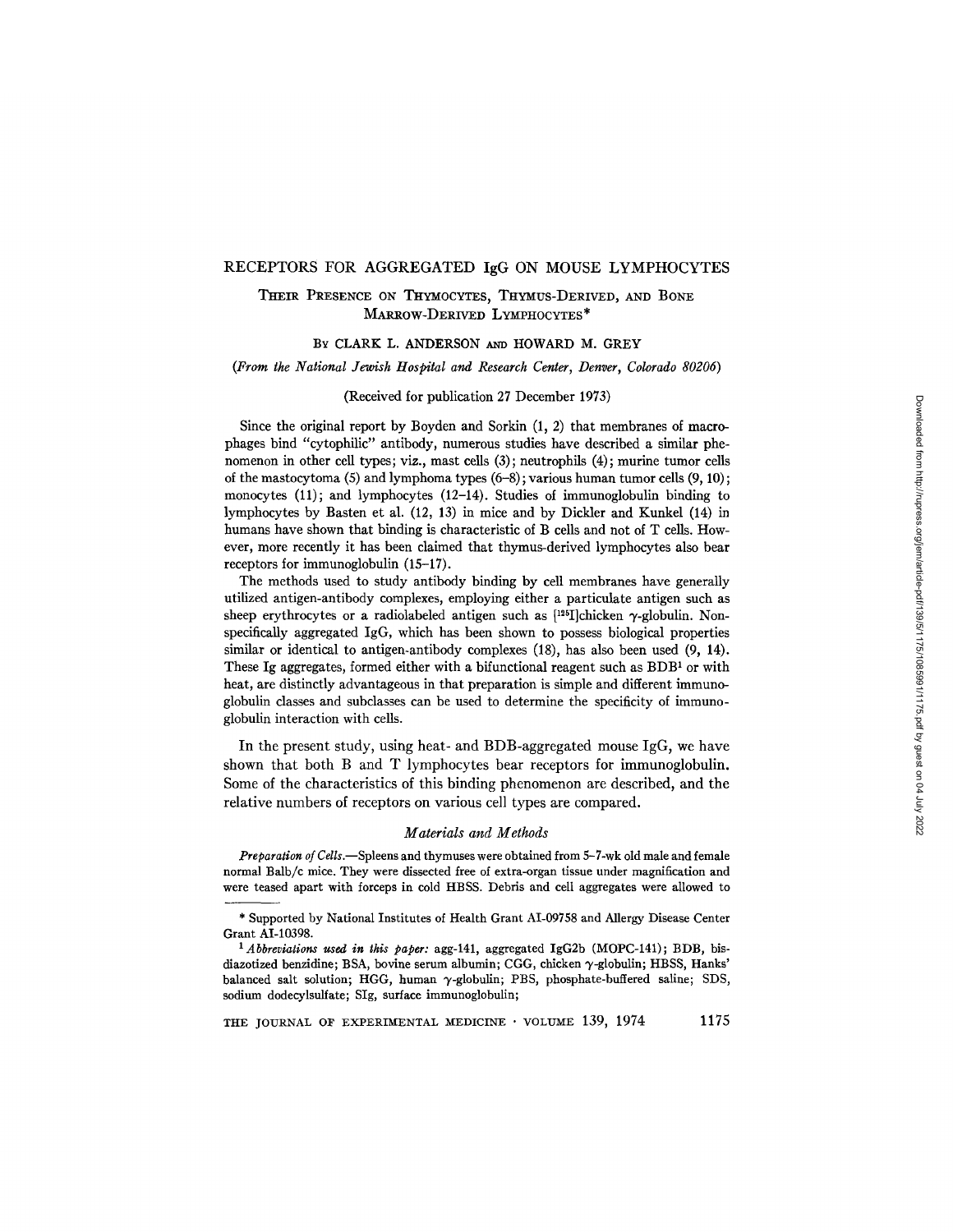#### RECEPTORS FOR AGGREGATED IgG ON MOUSE LYMPHOCYTES

# THEIR PRESENCE ON THYMOCYTES, THYMUS-DERIVED, AND BONE MARRow-DERIVED LYMPHOCYTES\*

## BY CLARK L. ANDERSON AND HOWARD M. GREY

#### *(From the National Jewish Hospital and Research Center, Denver, Colorado 80206)*

#### (Received for publication 27 December 1973)

Since the original report by Boyden and Sorkin (1, 2) that membranes of macrophages bind "cytophilic" antibody, numerous studies have described a similar phenomenon in other cell types; viz., mast cells (3); neutrophils (4); murine tumor cells of the mastocytoma (5) and lymphoma types  $(6-8)$ ; various human tumor cells  $(9, 10)$ ; monocytes (11); and lymphocytes (12-14). Studies of immunoglobulin binding to lymphocytes by Basten et al. (12, 13) in mice and by Dickler and Kunkel (14) in humans have shown that binding is characteristic of B cells and not of T cells. However, more recently it has been claimed that thymus-derived lymphocytes also bear receptors for immunoglobulin (15-17).

The methods used to study antibody binding by cell membranes have generally utilized antigen-antibody complexes, employing either a particulate antigen such as sheep erythrocytes or a radiolabeled antigen such as  $[$ 125I]chicken  $\gamma$ -globulin. Nonspecifically aggregated IgG, which has been shown to possess biological properties similar or identical to antigen-antibody complexes (18), has also been used (9, 14). These Ig aggregates, formed either with a bifunctional reagent such as  $BDB<sup>1</sup>$  or with heat, are distinctly advantageous in that preparation is simple and different immunoglobulin classes and subclasses can be used to determine the specificity of immunoglobulin interaction with cells.

In the present study, using heat- and BDB-aggregated mouse IgG, we have shown that both B and T lymphocytes bear receptors for immunoglobulin. Some of the characteristics of this binding phenomenon are described, and the relative numbers of receptors on various cell types are compared.

#### *Materials and Methods*

*Preparation of Cells.--Spleens* and thymuses were obtained from 5-7-wk old male and female normal Balb/c mice. They were dissected free of extra-organ tissue under magnification and were teased apart with forceps in cold HBSS. Debris and cell aggregates were allowed to

<sup>\*</sup> Supported by National Institutes of Health Grant AI-09758 and Allergy Disease Center Grant AI-10398.

*<sup>1</sup> Abbreviations used in this paper:* agg-141, aggregated IgG2b (MOPC-141); BDB, bisdiazotized benzidine; BSA, bovine serum albumin; CGG, chicken  $\gamma$ -globulin; HBSS, Hanks' balanced salt solution; HGG, human  $\gamma$ -globulin; PBS, phosphate-buffered saline; SDS, sodium dodecylsulfate; SIg, surface immunoglobulin;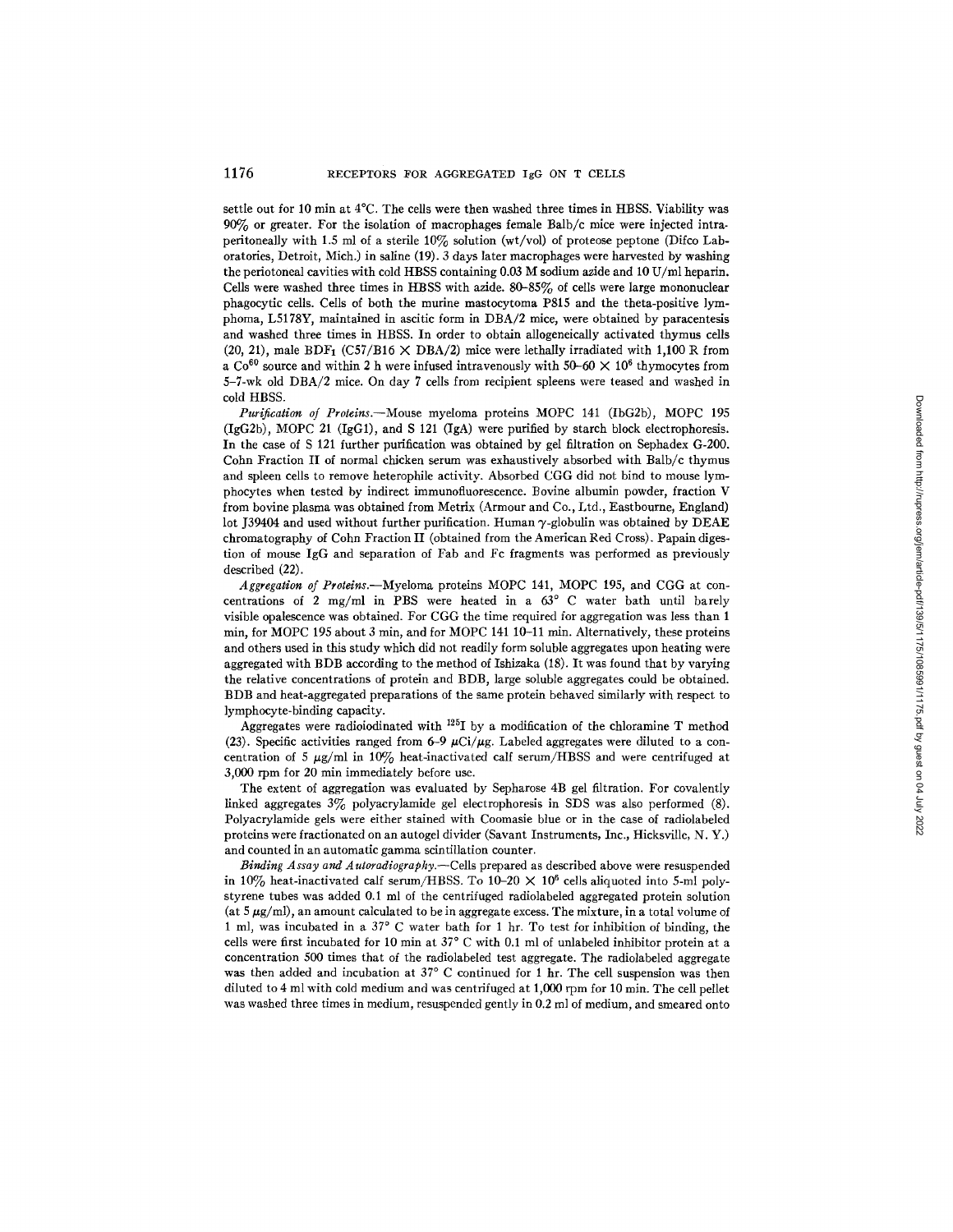settle out for 10 min at 4°C. The cells were then washed three times in HBSS. Viability was 90% or greater. For the isolation of macrophages female Baib/c mice were injected intra. peritoneally with 1.5 ml of a sterile 10% solution (wt/vol) of proteose peptone (Difco Laboratories, Detroit, Mich.) in saline (19). 3 days later macrophages were harvested by washing the periotoneal cavities with cold HBSS containing 0.03 M sodium azide and 10 U/ml heparin. Cells were washed three times in HBSS with azide. 80-85% of ceils were large mononuclear phagocytic cells. Cells of both the murine mastocytoma P815 and the theta-posidve lymphoma, L5178Y, maintained in ascific form in DBA/2 mice, were obtained by paracentesis and washed three times in HBSS. In order to obtain allogeneically activated thymus cells (20, 21), male BDF<sub>1</sub> (C57/B16  $\times$  DBA/2) mice were lethally irradiated with 1,100 R from a Co<sup>60</sup> source and within 2 h were infused intravenously with 50-60  $\times$  10<sup>6</sup> thymocytes from 5-7-wk old DBA/2 mice. On day 7 cells from recipient spleens were teased and washed in cold HBSS.

*Purification of Proteins.--Mouse* myeloma proteins MOPC 141 (IbG2b), MOPC 195  $(IgG2b)$ , MOPC 21 (IgG1), and S 121 (IgA) were purified by starch block electrophoresis. In the case of S 121 further purification was obtained by gel filtration on Sephadex G-200. Cohn Fraction II of normal chicken serum was exhaustively absorbed with Balb/c thymus and spleen cells to remove heterophile activity. Absorbed CGG did not bind to mouse lymphocytes when tested by indirect immunofluorescence. Bovine albumin powder, fraction V from bovine plasma was obtained from Metrix (Armour and Co., *Ltd.,* Eastbourne, England) lot J39404 and used without further purification. Human  $\gamma$ -globulin was obtained by DEAE chromatography of Cohn Fraction II (obtained from the American Red Cross). Papain digestion of mouse IgG and separation of Fab and Fc fragments was performed as previously described (22).

*Aggregation of Protdns.--Myeloma* proteins MOPC 141, MOPC 195, and CGG at concentrations of 2 mg/ml in PBS were heated in a  $63^{\circ}$  C water bath until barely visible opalescence was obtained. For CGG the time required for aggregation was less than 1 min, for MOPC 195 about 3 min, and for MOPC 141 10-11 min. Alternatively, these proteins and others used in this study which did not readily form soluble aggregates upon heating were aggregated with BDB according to the method of Ishizaka (18). It was found that by varying the relative concentrations of protein and BDB, large soluble aggregates could be obtained. BDB and heat-aggregated preparations of the same protein behaved similarly with respect to lymphocyte-binding capacity.

Aggregates were radioiodinated with  $^{125}I$  by a modification of the chloramine T method (23). Specific activities ranged from 6-9  $\mu$ Ci/ $\mu$ g. Labeled aggregates were diluted to a concentration of 5  $\mu$ g/ml in 10% heat-inactivated calf serum/HBSS and were centrifuged at 3,000 rpm for 20 min immediately before use.

The extent of aggregation was evaluated by Sepharose 4B gel filtration. For covalently linked aggregates 3% polyacrylamide gel electrophoresis in SDS was also performed (8). Polyacrylamide gels were either stained with Coomasie blue or in the case of radiolabeled proteins were fractionated on an autogel divider (Savant Instruments, Inc., Hicksville, N. Y.) and counted in an automatic gamma scintillation counter.

*Binding Assay and Autoradiography.--Cells* prepared as described above were resuspended in 10% heat-inactivated calf serum/HBSS. To 10-20  $\times$  10<sup>6</sup> cells aliquoted into 5-ml polystyrene tubes was added 0.1 ml of the centrifuged radiolabeled aggregated protein solution (at  $5 \mu g/ml$ ), an amount calculated to be in aggregate excess. The mixture, in a total volume of 1 ml, was incubated in a 37° C water bath for 1 hr. To test for inhibition of binding, the cells were first incubated for 10 min at  $37^{\circ}$  C with 0.1 ml of unlabeled inhibitor protein at a concentration 500 times that of the radiolabeled test aggregate. The radiolabeled aggregate was then added and incubation at  $37^{\circ}$  C continued for 1 hr. The cell suspension was then diluted to 4 ml with cold medium and was centrifuged at 1,000 rpm for 10 min. The cell pellet was washed three times in medium, resuspended gently in 0.2 ml of medium, and smeared onto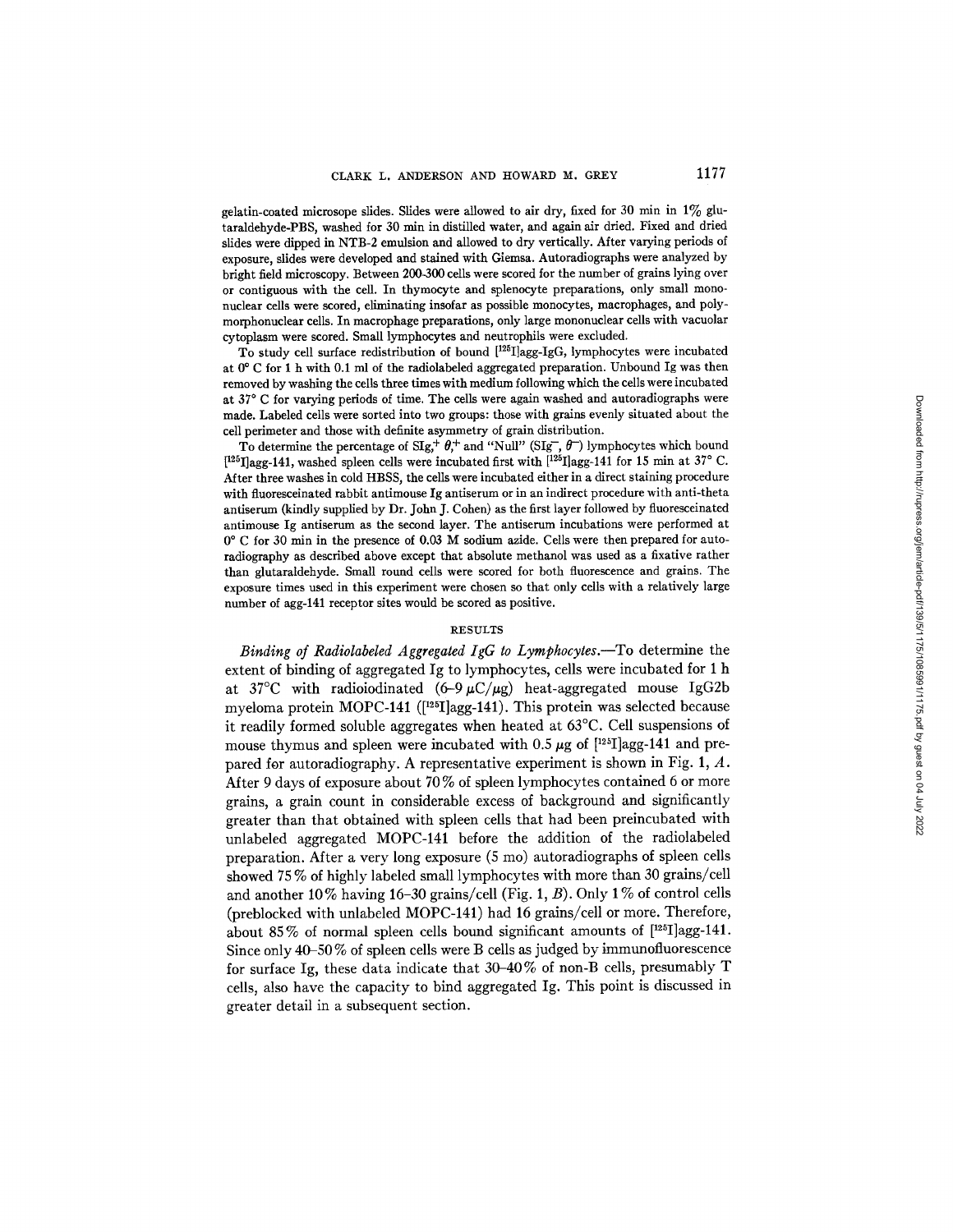gelatin-coated microsope slides. Slides were allowed to air dry, fixed for 30 min in  $1\%$  glutaraldehyde-PBS, washed for 30 min in distilled water, and again air dried. Fixed and dried slides were dipped in NTB-2 emulsion and allowed to dry vertically. After varying periods of exposure, slides were developed and stained with Giemsa. Autoradiographs were analyzed by bright field microscopy. Between 200-300 cells were scored for the number of grains lying over or contiguous with the cell. In thymocyte and splenocyte preparations, only small mononuclear cells were scored, eliminating insofar as possible monocytes, macrophages, and polymorphonuclear cells. In macrophage preparations, only large mononuclear cells with vacuolar cytoplasm were scored. Small lymphocytes and neutrophils were excluded.

To study cell surface redistribution of bound [125I]agg-IgG, lymphocytes were incubated at 0° C for 1 h with 0.1 ml of the radiolabeled aggregated preparation. Unbound Ig was then removed by washing the cells three times with medium following which the cells were incubated at 37 ° C for varying periods of time. The cells were again washed and autoradiographs were made. Labeled cells were sorted into two groups: those with grains evenly situated about the cell perimeter and those with definite asymmetry of grain distribution.

To determine the percentage of  $\text{Sig}_{\tau}^+ \theta_{\tau}^+$  and "Null" (SIg,  $\theta$ ) lymphocytes which bound  $[125]$ agg-141, washed spleen cells were incubated first with  $[125]$ agg-141 for 15 min at 37° C. After three washes in cold HBSS, the cells were incubated either in a direct staining procedure with fluoresceinated rabbit antimouse Ig antiserum or in an indirect procedure with anti-theta antiserum (kindly supplied by Dr. John J. Cohen) as the first layer followed by fluoresceinated antimouse Ig antiserum as the second layer. The antiserum incubations were performed at 0 ° C for 30 min in the presence of 0.03 M sodium azide. Cells were then prepared for autoradiography as described above except that absolute methanol was used as a fixative rather than glutaraidehyde. Small round cells were scored for both fluorescence and grains. The exposure times used in this experiment were chosen so that only cells with a relatively large number of agg-141 receptor sites would be scored as positive.

### **RESULTS**

*Binding of Radiolabeled Aggregated IgG to Lymphocytes.*-To determine the extent of binding of aggregated Ig to lymphocytes, cells were incubated for 1 h at 37°C with radioiodinated  $(6-9 \mu C/\mu g)$  heat-aggregated mouse IgG2b myeloma protein MOPC-141 ([125I]agg-141). This protein was selected because it readily formed soluble aggregates when heated at 63°C. Cell suspensions of mouse thymus and spleen were incubated with 0.5  $\mu$ g of [<sup>125</sup>]agg-141 and prepared for autoradiography. A representative experiment is shown in Fig. 1, A. After 9 days of exposure about 70 % of spleen lymphocytes contained 6 or more grains, a grain count in considerable excess of background and significantly greater than that obtained with spleen cells that had been preincubated with unlabeled aggregated MOPC-141 before the addition of the radiolabeled preparation. After a very long exposure (5 mo) autoradiographs of spleen cells showed 75 % of highly labeled small lymphocytes with more than 30 grains/cell and another 10% having 16-30 grains/cell (Fig. 1, B). Only 1% of control cells (preblocked with unlabeled MOPC-141) had 16 grains/cell or more. Therefore, about 85 % of normal spleen cells bound significant amounts of [125I]agg-141. Since only 40-50 % of spleen cells were B cells as judged by immunofluorescence for surface Ig, these data indicate that 30-40 % of non-B cells, presumably T cells, also have the capacity to bind aggregated Ig. This point is discussed in greater detail in a subsequent section.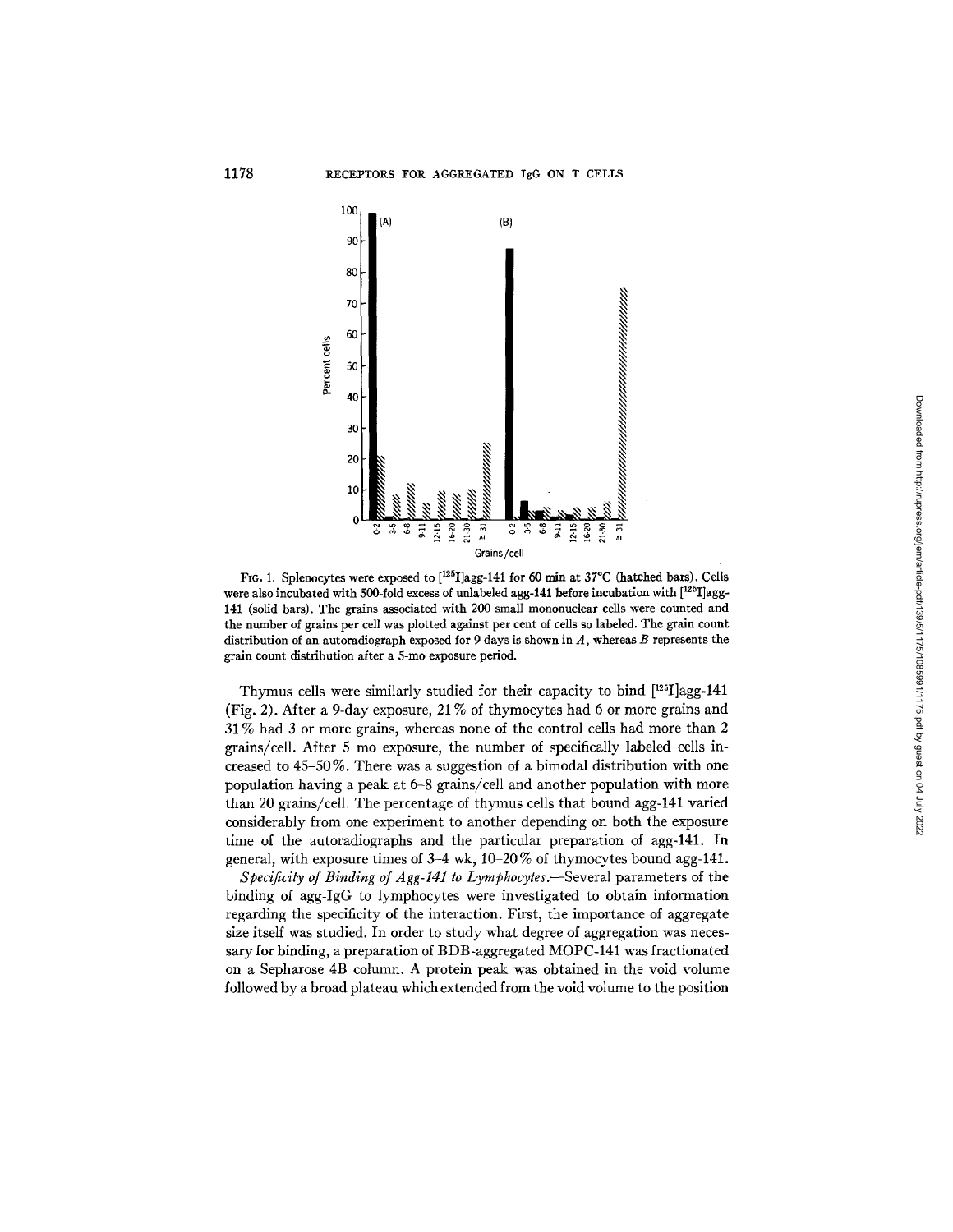

FIG. 1. Splenocytes were exposed to  $[{}^{125}I]$ agg-141 for 60 min at 37°C (hatched bars). Cells were also incubated with 500-fold excess of unlabeled agg-141 before incubation with  $[125]$ agg-141 (solid bars). The grains associated with 200 small mononuclear cells were counted and the number of grains per cell was plotted against per cent of cells so labeled. The grain count distribution of an autoradiograph exposed for 9 days is shown in  $A$ , whereas  $B$  represents the grain count distribution after a 5-mo exposure period.

Thymus cells were similarly studied for their capacity to bind  $[125]$ agg-141 (Fig. 2). After a 9-day exposure, 21% of thymocytes had 6 or more grains and 31% had 3 or more grains, whereas none of the control cells had more than 2 grains/cell. After 5 mo exposure, the number of specifically labeled cells increased to 45-50 %. There was a suggestion of a bimodal distribution with one population having a peak at 6-8 grains/cell and another population with more than 20 grains/cell. The percentage of thymus cells that bound agg-141 varied considerably from one experiment to another depending on both the exposure time of the autoradiographs and the particular preparation of agg-141. In general, with exposure times of  $3-4$  wk,  $10-20\%$  of thymocytes bound agg-141.

*Specificity of Binding of Agg-141 to Lymphocytes.*—Several parameters of the binding of agg-IgG to lymphocytes were investigated to obtain information regarding the specificity of the interaction. First, the importance of aggregate size itself was studied. In order to study what degree of aggregation was necessary for binding, a preparation of BDB-aggregated MOPC-141 was fractionated on a Sepharose 4B column. A protein peak was obtained in the void volume followed by a broad plateau which extended from the void volume to the position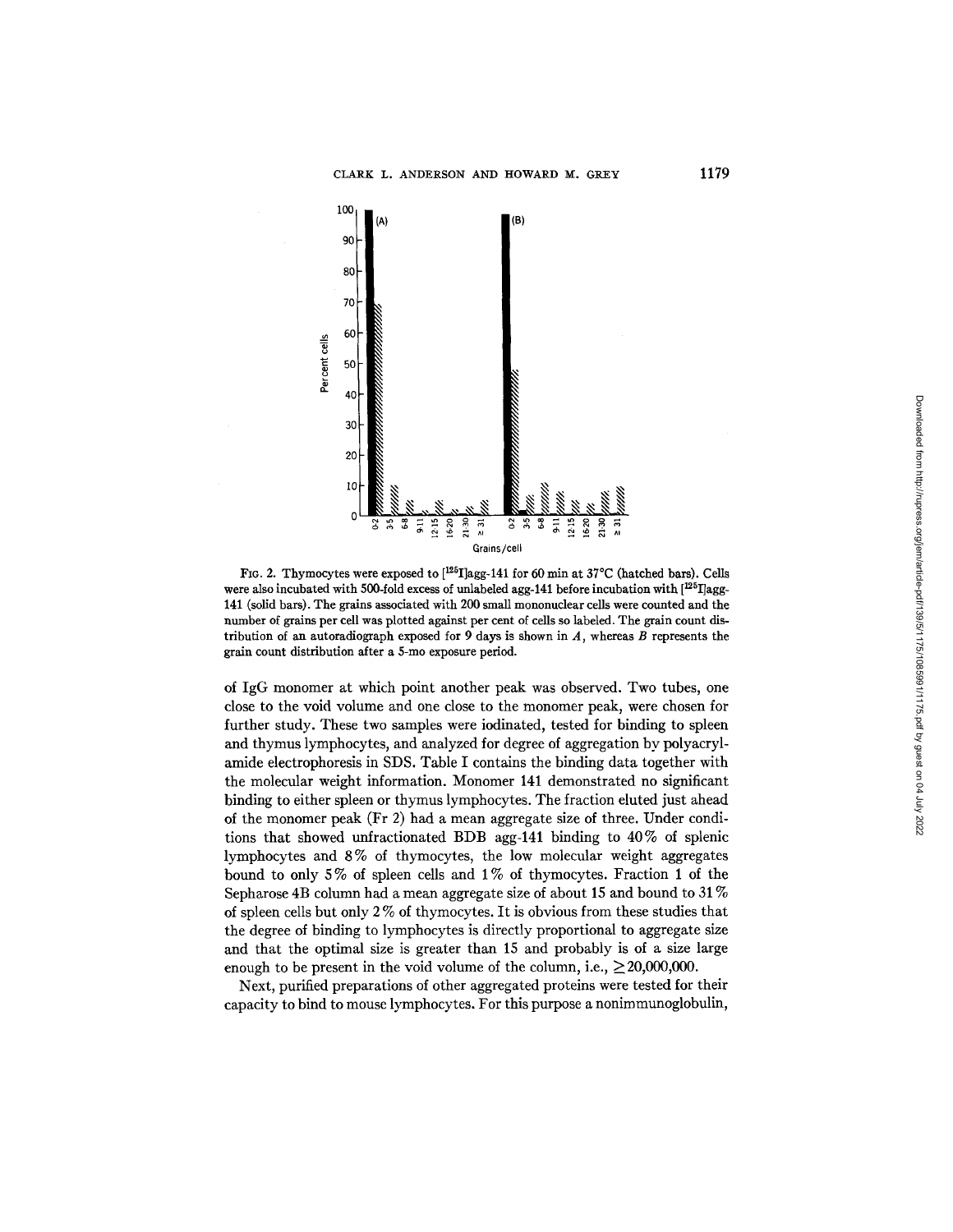

FIG. 2. Thymocytes were exposed to  $[{}^{125}I]$ agg-141 for 60 min at 37°C (hatched bars). Cells were also incubated with 500-fold excess of unlabeled agg-141 before incubation with  $[125]$ agg-141 (solid bars). The gains associated with 200 small mononuclear cells were counted and the number of grains per cell was plotted against per cent of cells so labeled. The grain count distribution of an autoradiograph exposed for 9 days is shown in *A,* whereas B represents the grain count distribution after a 5-mo exposure period.

of IgG monomer at which point another peak was observed. Two tubes, one close to the void volume and one close to the monomer peak, were chosen for further study. These two samples were iodinated, tested for binding to spleen and thymus lymphocytes, and analyzed for degree of aggregation by polyacrylamide electrophoresis in SDS. Table I contains the binding data together with the molecular weight information. Monomer 141 demonstrated no significant binding to either spleen or thymus lymphocytes. The fraction eluted just ahead of the monomer peak (Fr 2) had a mean aggregate size of three. Under conditions that showed unfractionated BDB agg-141 binding to 40% of splenic lymphocytes and 8% of thymocytes, the low molecular weight aggregates bound to only  $5\%$  of spleen cells and  $1\%$  of thymocytes. Fraction 1 of the Sepharose 4B column had a mean aggregate size of about 15 and bound to 31% of spleen cells but only 2 % of thymocytes. It is obvious from these studies that the degree of binding to lymphocytes is directly proportional to aggregate size and that the optimal size is greater than 15 and probably is of a size large enough to be present in the void volume of the column, i.e.,  $\geq 20,000,000$ .

Next, purified preparations of other aggregated proteins were tested for their capacity to bind to mouse lymphocytes. For this purpose a nonimmunoglobulin,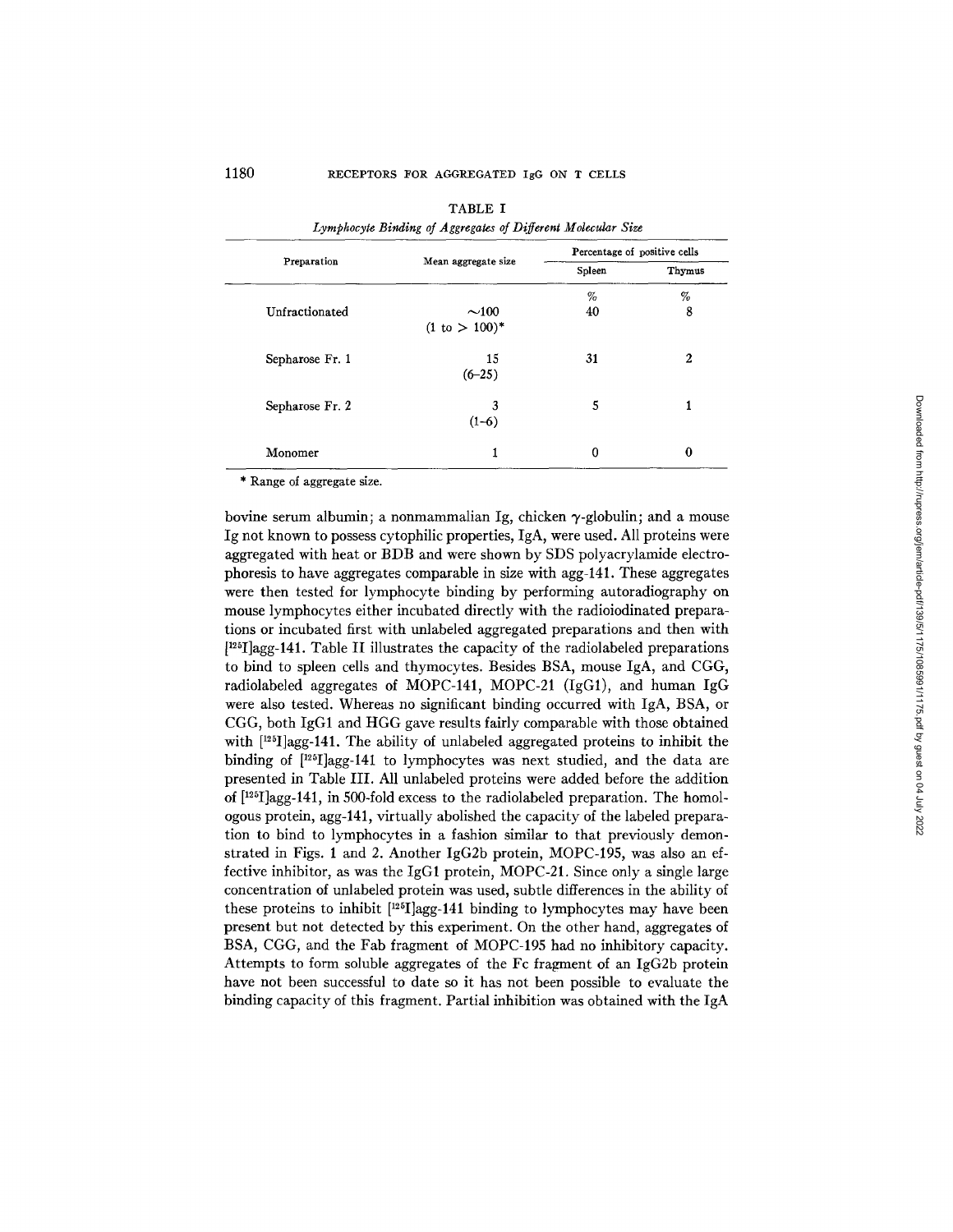|                 |                           | Percentage of positive cells |          |
|-----------------|---------------------------|------------------------------|----------|
| Preparation     | Mean aggregate size       | Spleen                       | Thymus   |
|                 |                           | %                            | %        |
| Unfractionated  | $\sim$ 100                | 40                           | 8        |
|                 | $(1 \text{ to } > 100)^*$ |                              |          |
| Sepharose Fr. 1 | 15                        | 31                           | 2        |
|                 | $(6-25)$                  |                              |          |
| Sepharose Fr. 2 | 3                         | 5                            | 1        |
|                 | $(1-6)$                   |                              |          |
| Monomer         | 1                         | 0                            | $\bf{0}$ |

|                                                              | TABLE I |  |  |
|--------------------------------------------------------------|---------|--|--|
| Lymphocyte Binding of Aggregates of Different Molecular Size |         |  |  |

\* Range of aggregate size.

bovine serum albumin; a nonmammalian Ig, chicken  $\gamma$ -globulin; and a mouse Ig not known to possess cytophilic properties, IgA, were used. All proteins were aggregated with heat or BDB and were shown by SDS polyacrylamide electrophoresis to have aggregates comparable in size with agg-141. These aggregates were then tested for lymphocyte binding by performing autoradiography on mouse lymphocytes either incubated directly with the radioiodinated preparations or incubated first with unlabeled aggregated preparations and then with [125I]agg-141. Table II illustrates the capacity of the radiolabeled preparations to bind to spleen cells and thymocytes. Besides BSA, mouse IgA, and CGG, radiolabeled aggregates of MOPC-141, MOPC-21 (IgG1), and human IgG were also tested. Whereas no significant binding occurred with IgA, BSA, or CGG, both IgG1 and HGG gave results fairly comparable with those obtained with  $[125] \text{agg-141}$ . The ability of unlabeled aggregated proteins to inhibit the binding of [<sup>125</sup>I]agg-141 to lymphocytes was next studied, and the data are presented in Table III. All unlabeled proteins were added before the addition of [125I]agg-141, in 500-fold excess to the radiolabeled preparation. The homologous protein, agg-141, virtually abolished the capacity of the labeled preparation to bind to lymphocytes in a fashion similar to that previously demonstrated in Figs. 1 and 2. Another IgG2b protein, MOPC-195, was also an effective inhibitor, as was the IgG1 protein, MOPC-21. Since only a single large concentration of unlabeled protein was used, subtle differences in the ability of these proteins to inhibit [125I]agg-141 binding to lymphocytes may have been present but not detected by this experiment. On the other hand, aggregates of BSA, CGG, and the FaD fragment of MOPC-195 had no inhibitory capacity. Attempts to form soluble aggregates of the Fc fragment of an IgG2b protein have not been successful to date so it has not been possible to evaluate the binding capacity of this fragment. Partial inhibition was obtained with the IgA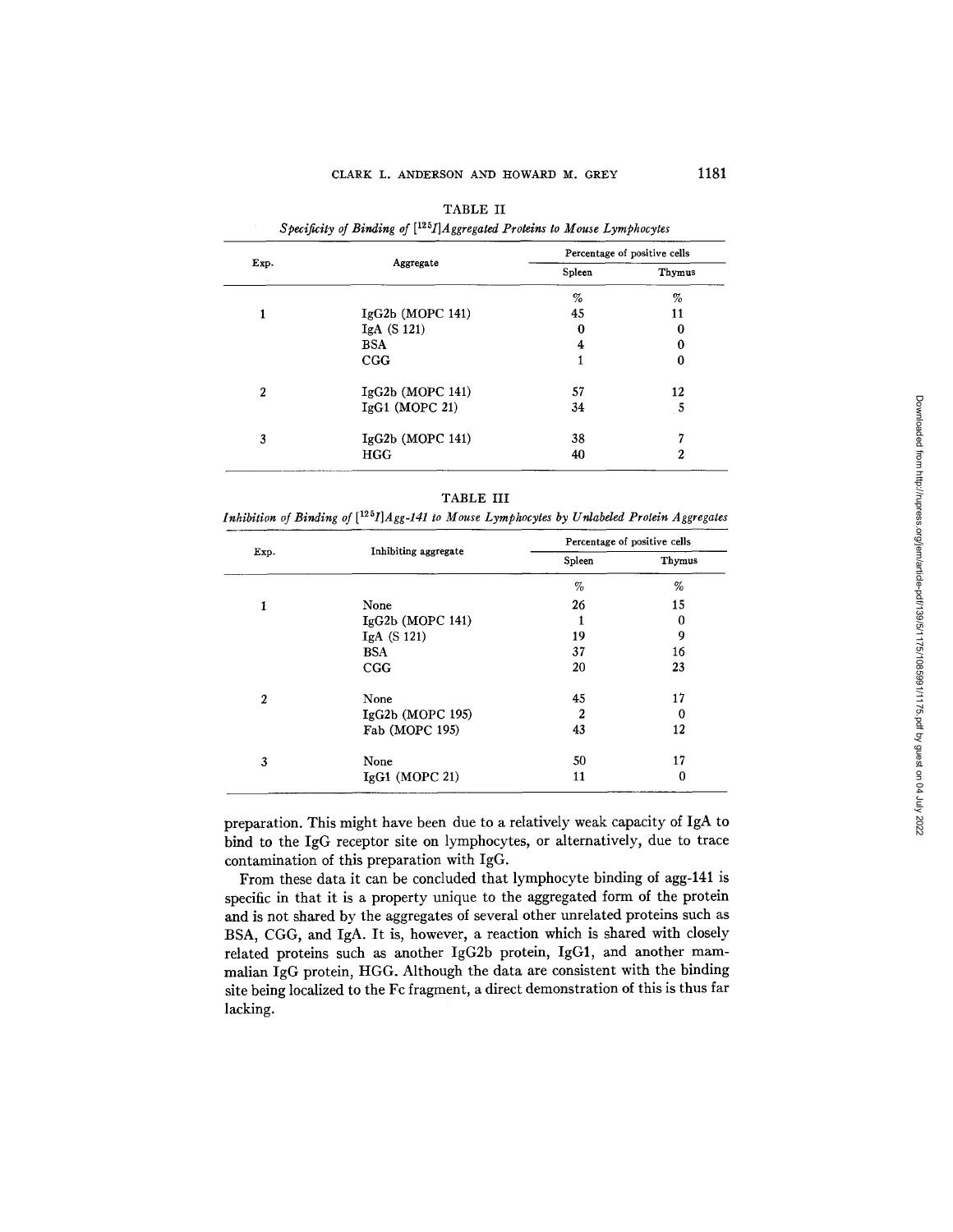| Exp. |                    | Percentage of positive cells |        |  |
|------|--------------------|------------------------------|--------|--|
|      | Aggregate          | Spleen                       | Thymus |  |
|      |                    | %                            | %      |  |
|      | IgG2b (MOPC 141)   | 45                           | 11     |  |
|      | IgA $(S 121)$      | 0                            | 0      |  |
|      | <b>BSA</b>         | 4                            | 0      |  |
|      | CGG                |                              | 0      |  |
| 2    | $IgG2b$ (MOPC 141) | 57                           | 12     |  |
|      | $IgG1$ (MOPC 21)   | 34                           | 5      |  |
| 3    | IgG2b (MOPC 141)   | 38                           | ۰,     |  |
|      | HGG                | 40                           | 2      |  |

| TABLE II                                                                       |
|--------------------------------------------------------------------------------|
| Specificity of Binding of $[1^{25}I]$ Aggregated Proteins to Mouse Lymphocytes |

| ٠ |  |
|---|--|
|---|--|

*Inhibition of Binding of [1251]Agg-141 to Mouse Lymphocytes by Unlabeled Protein Aggregates* 

|                  |                      | Percentage of positive cells |        |
|------------------|----------------------|------------------------------|--------|
| Exp.             | Inhibiting aggregate | Spleen                       | Thymus |
|                  |                      | $\%$                         | %      |
| 1                | None                 | 26                           | 15     |
|                  | $IgG2b$ (MOPC 141)   |                              | 0      |
|                  | IgA(S121)            | 19                           | 9      |
|                  | <b>BSA</b>           | 37                           | 16     |
|                  | CGG                  | 20                           | 23     |
| $\boldsymbol{2}$ | None                 | 45                           | 17     |
|                  | $IgG2b$ (MOPC 195)   | 2                            | 0      |
|                  | Fab (MOPC 195)       | 43                           | 12     |
| 3                | None                 | 50                           | 17     |
|                  | $IgG1$ (MOPC 21)     | 11                           | 0      |

preparation. This might have been due to a relatively weak capacity of IgA to bind to the IgG receptor site on lymphocytes, or alternatively, due to trace contamination of this preparation with IgG.

From these data it can be concluded that lymphocyte binding of agg-141 is specific in that it is a property unique to the aggregated form of the protein and is not shared by the aggregates of several other unrelated proteins such as BSA, CGG, and IgA. It is, however, a reaction which is shared with closely related proteins such as another IgG2b protein, IgG1, and another mammalian IgG protein, HGG. Although the data are consistent with the binding site being localized to the Fc fragment, a direct demonstration of this is thus far lacking.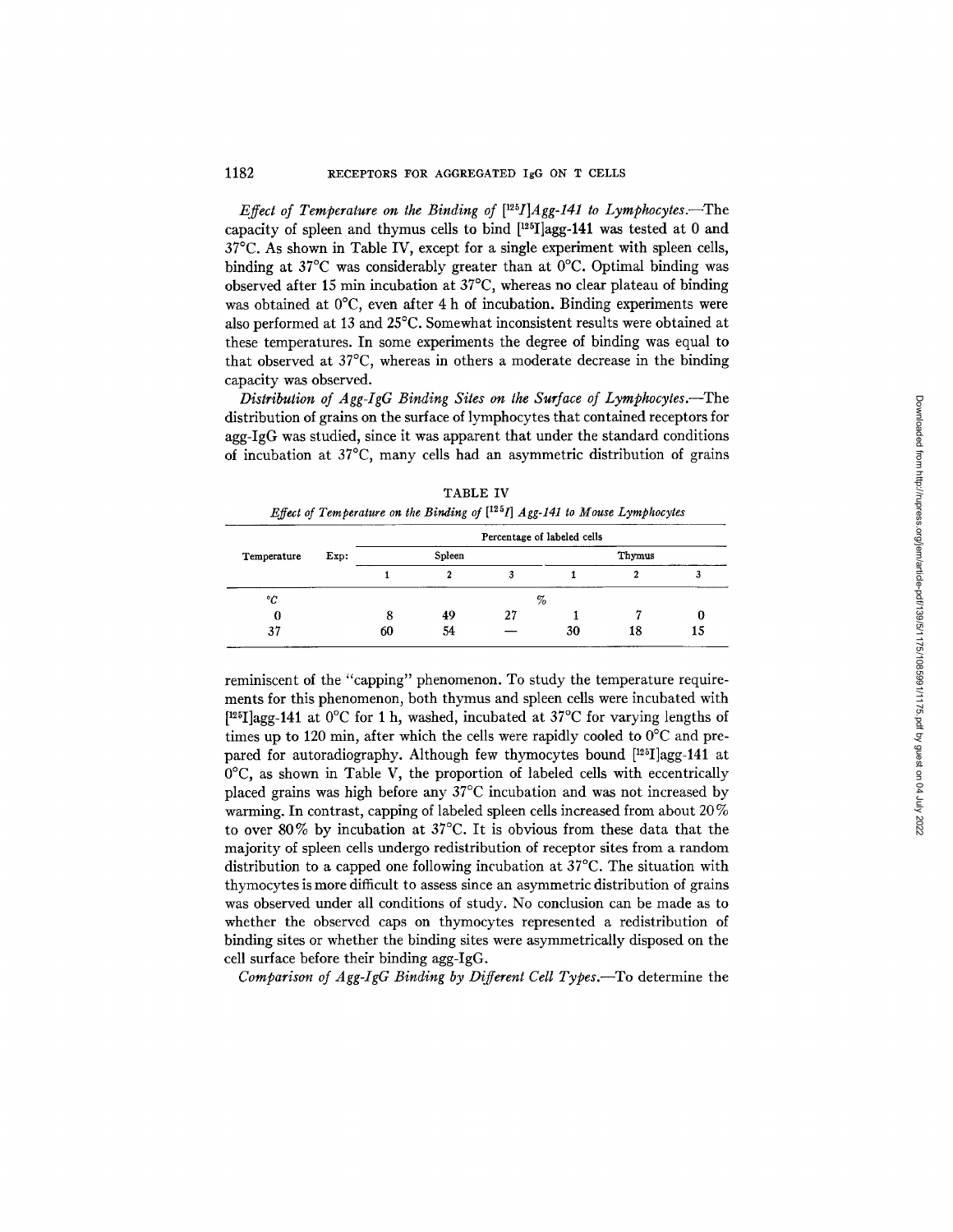*Effect of Temperature on the Binding of*  $[125]/Age-141$  to Lymphocytes.—The capacity of spleen and thymus cells to bind  $[125]$  agg-141 was tested at 0 and 37°C. As shown in Table IV, except for a single experiment with spleen cells, binding at 37°C was considerably greater than at 0°C. Optimal binding was observed after 15 min incubation at 37°C, whereas no clear plateau of binding was obtained at 0°C, even after 4 h of incubation. Binding experiments were also performed at 13 and 25°C. Somewhat inconsistent results were obtained at these temperatures. In some experiments the degree of binding was equal to that observed at 37°C, whereas in others a moderate decrease in the binding capacity was observed.

*Distribution of Agg-IgG Binding Sites on the Surface of Lymphocytes.--The*  distribution of grains on the surface of lymphocytes that contained receptors for agg-IgG was studied, since it was apparent that under the standard conditions of incubation at 37°C, many cells had an asymmetric distribution of grains

|                     | Percentage of labeled cells |    |        |    |    |    |
|---------------------|-----------------------------|----|--------|----|----|----|
| Exp:<br>Temperature | Spleen                      |    | Thymus |    |    |    |
|                     |                             |    | 3      |    |    |    |
| °C                  |                             |    | %      |    |    |    |
| O                   | 8                           | 49 | 27     |    |    |    |
| 37                  | 60                          | 54 |        | 30 | 18 | 15 |

TABLE IV

reminiscent of the "capping" phenomenon. To study the temperature requirements for this phenomenon, both thymus and spleen cells were incubated with [<sup>125</sup>I]agg-141 at 0°C for 1 h, washed, incubated at 37°C for varying lengths of times up to 120 min, after which the cells were rapidly cooled to  $0^{\circ}$ C and prepared for autoradiography. Although few thymocytes bound [125I]agg-141 at  $0^{\circ}$ C, as shown in Table V, the proportion of labeled cells with eccentrically placed grains was high before any 37°C incubation and was not increased by warming. In contrast, capping of labeled spleen cells increased from about 20 % to over 80% by incubation at 37°C. It is obvious from these data that the majority of spleen cells undergo redistribution of receptor sites from a random distribution to a capped one following incubation at 37°C. The situation with thymocytes is more difficult to assess since an asymmetric distribution of grains was observed under all conditions of study. No conclusion can be made as to whether the observed caps on thymocytes represented a redistribution of binding sites or whether the binding sites were asymmetrically disposed on the cell surface before their binding agg-IgG.

*Comparison of Agg-IgG Binding by Different Cell Types.--To* determine the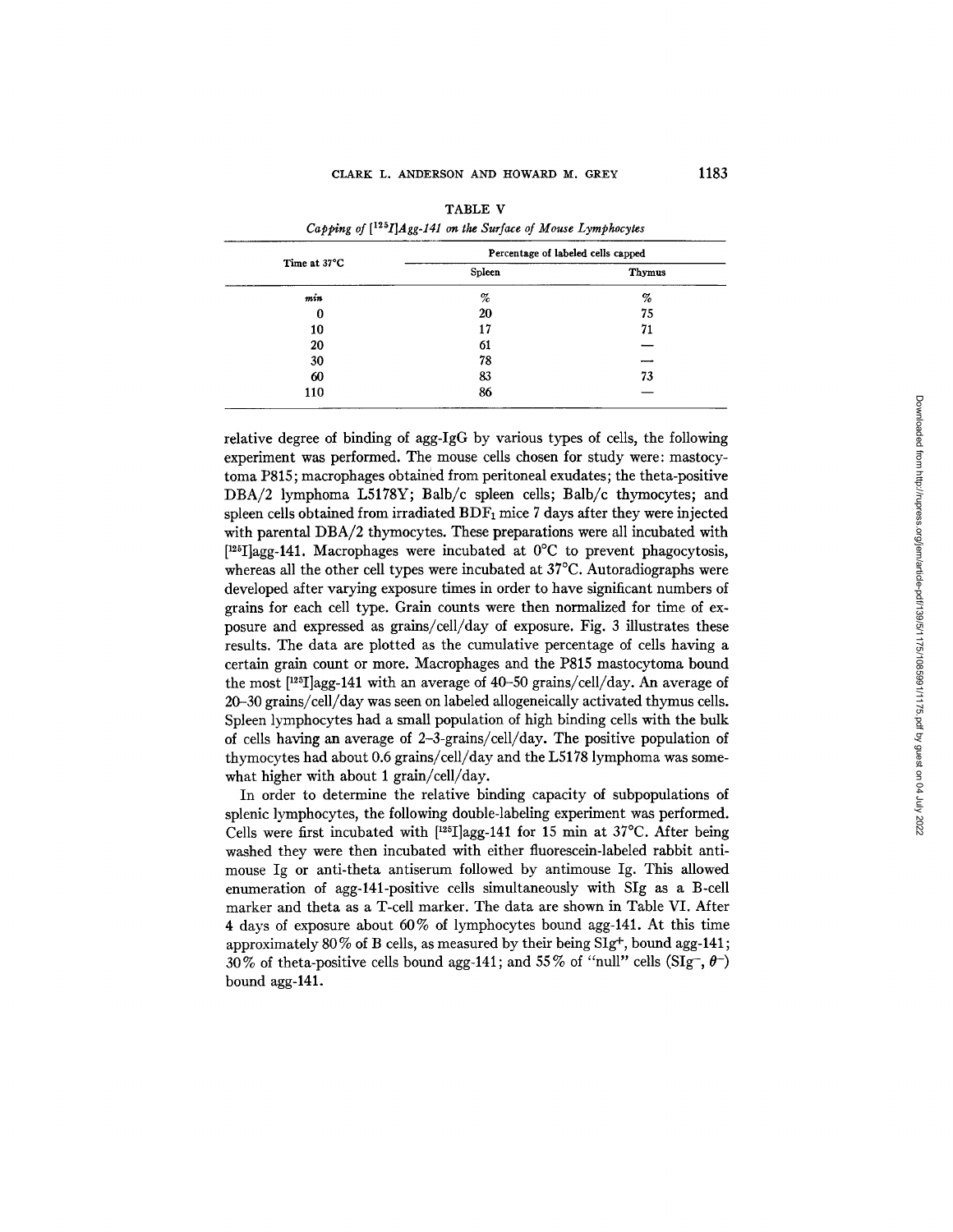|              | Percentage of labeled cells capped |        |  |
|--------------|------------------------------------|--------|--|
| Time at 37°C | Spleen                             | Thymus |  |
| m in         | $\%$                               | %      |  |
| 0            | 20                                 | 75     |  |
| 10           | 17                                 | 71     |  |
| 20           | 61                                 |        |  |
| 30           | 78                                 |        |  |
| 60           | 83                                 | 73     |  |
| 110          | 86                                 |        |  |

|                                                                             | TABLE V |  |  |
|-----------------------------------------------------------------------------|---------|--|--|
| Capping of $[$ <sup>125</sup> I]Agg-141 on the Surface of Mouse Lymphocytes |         |  |  |

relative degree of binding of agg-IgG by various types of cells, the following experiment was performed. The mouse cells chosen for study were: mastocytoma P815; macrophages obtained from peritoneal exudates; the theta-posifive DBA/2 lymphoma L5178Y; Balb/c spleen cells; Balb/c thymocytes; and spleen cells obtained from irradiated  $BDF_1$  mice 7 days after they were injected with parental DBA/2 thymocytes. These preparations were all incubated with  $[1^{25}I]$ agg-141. Macrophages were incubated at  $0^{\circ}C$  to prevent phagocytosis, whereas all the other cell types were incubated at 37°C. Autoradiographs were developed after varying exposure times in order to have significant numbers of grains for each cell type. Grain counts were then normalized for time of exposure and expressed as grains/cell/day of exposure. Fig. 3 illustrates these results. The data are plotted as the cumulative percentage of cells having a certain grain count or more. Macrophages and the P815 mastocytoma bound the most [125I]agg-141 with an average of 40-50 grains/cell/day. An average of 20-30 grains/cell/day was seen on labeled allogeneically activated thymus cells. Spleen lymphocytes had a small population of high binding cells with the bulk of cells having an average of 2-3-grains/cell/day. The positive population of thymocytes had about 0.6 grains/cell/day and the L5178 lymphoma was somewhat higher with about 1 grain/cell/day.

In order to determine the relative binding capacity of subpopulations of splenic lymphocytes, the following double-labeling experiment was performed. Cells were first incubated with  $[125] \text{lagg-141}$  for 15 min at 37°C. After being washed they were then incubated with either fluorescein-labeled rabbit antimouse Ig or anti-theta antiserum followed by antimouse Ig. This allowed enumeration of agg-141-positive cells simultaneously with SIg as a B-cell marker and theta as a T-cell marker. The data are shown in Table VI. Mter 4 days of exposure about 60% of lymphocytes bound agg-141. At this time approximately 80% of B cells, as measured by their being SIg<sup>+</sup>, bound agg-141; 30% of theta-positive cells bound agg-141; and 55% of "null" cells (SIg-,  $\theta$ ) bound agg-141.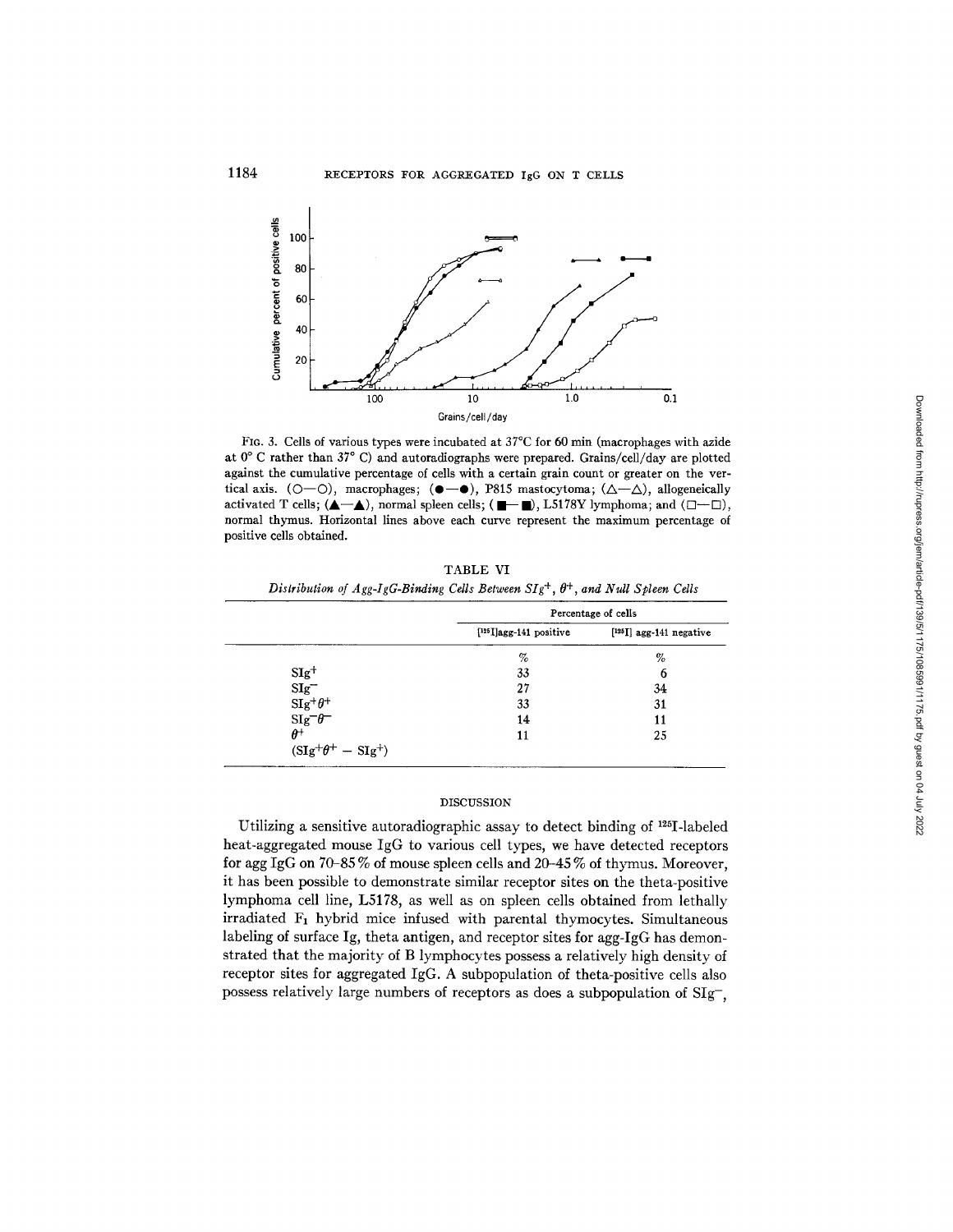

FIG. 3. Cells of various types were incubated at 37°C for 60 min (macrophages with azide at  $0^{\circ}$  C rather than  $37^{\circ}$  C) and autoradiographs were prepared. Grains/cell/day are plotted against the cumulative percentage of cells with a certain grain count or greater on the vertical axis. (O-O), macrophages; ( $\bullet$   $\bullet$ ), P815 mastocytoma; ( $\triangle -\triangle$ ), allogeneically activated T cells;  $(\triangle -\triangle)$ , normal spleen cells;  $(\blacksquare -\blacksquare)$ , L5178Y lymphoma; and  $(\square -\square)$ , normal thymus. Horizontal lines above each curve represent the maximum percentage of positive cells obtained.

|                        | Distribution of Agg-IgG-Binding Cells Between $SIg^+$ , $\theta^+$ , and Null Spleen Cells |                          |  |  |
|------------------------|--------------------------------------------------------------------------------------------|--------------------------|--|--|
|                        | Percentage of cells                                                                        |                          |  |  |
|                        | $[125]$ agg-141 positive                                                                   | $[125]$ agg-141 negative |  |  |
|                        | %                                                                                          | %                        |  |  |
| $SIg^+$                | 33                                                                                         | 6                        |  |  |
| $\mathrm{SIg}^-$       | 27                                                                                         | 34                       |  |  |
| $\text{SIg}^+\theta^+$ | 33                                                                                         | 31                       |  |  |
| $\text{Sig}^-\theta^-$ | 14                                                                                         | 11                       |  |  |
| $\theta^+$             |                                                                                            | 25                       |  |  |

TABLE VI

DISCUSSION

 $(SIg^+\theta^+ - SIg^+)$ 

Utilizing a sensitive autoradiographic assay to detect binding of  $^{125}I$ -labeled heat-aggregated mouse IgG to various cell types, we have detected receptors for agg IgG on 70-85 % of mouse spleen cells and 20-45 % of thymus. Moreover, it has been possible to demonstrate similar receptor sites on the theta-positive lymphoma cell line, L5178, as well as on spleen cells obtained from lethally  $irradiated$   $F_1$  hybrid mice infused with parental thymocytes. Simultaneous labeling of surface Ig, theta antigen, and receptor sites for agg-IgG has demonstrated that the majority of B lymphocytes possess a relatively high density of receptor sites for aggregated IgG. A subpopulation of theta-positive cells also possess relatively large numbers of receptors as does a subpopulation of SIg-,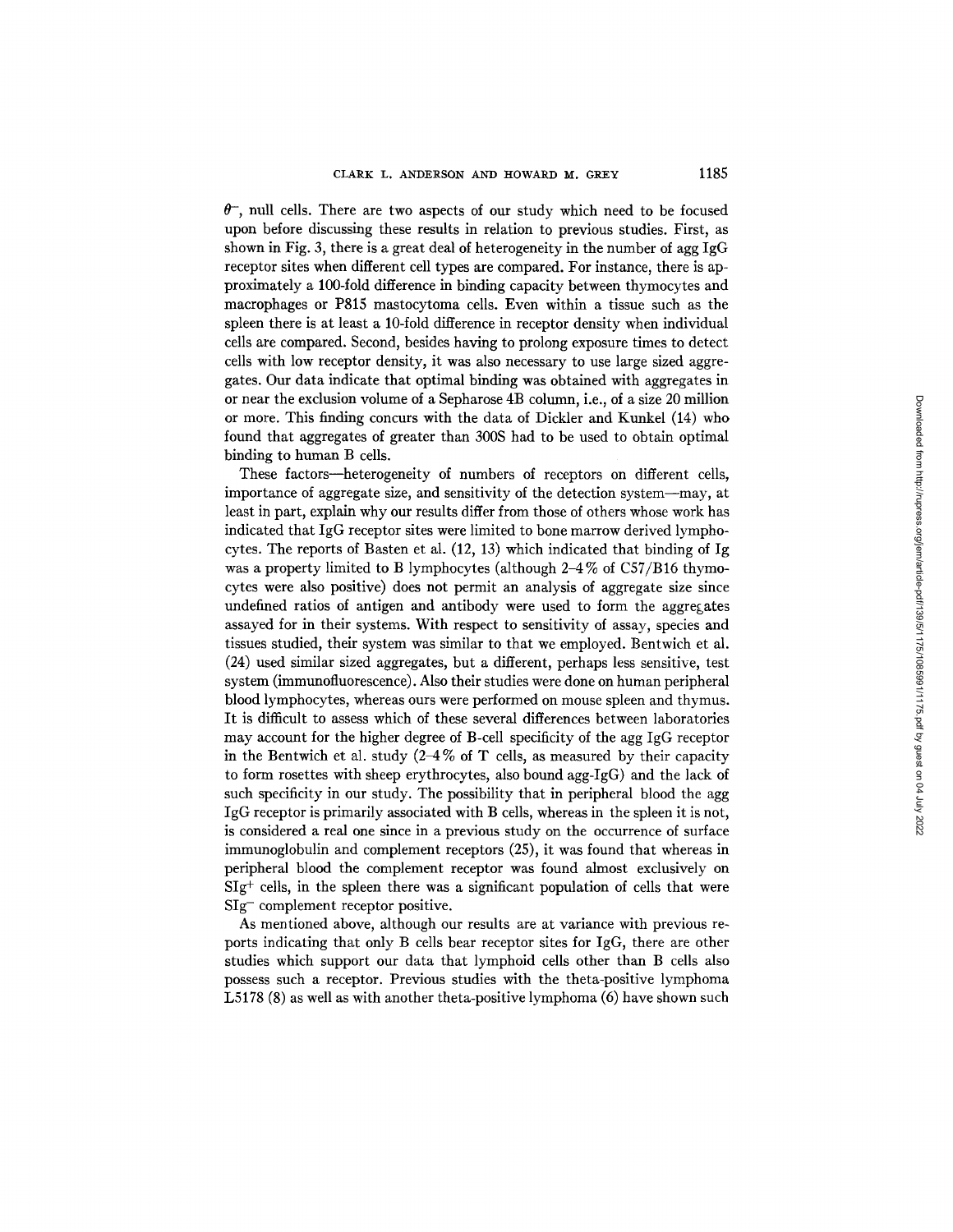$\theta^-$ , null cells. There are two aspects of our study which need to be focused upon before discussing these results in relation to previous studies. First, as shown in Fig. 3, there is a great deal of heterogeneity in the number of agg IgG receptor sites when different cell types are compared. For instance, there is approximately a 100-fold difference in binding capacity between thymocytes and macrophages or P815 mastocytoma cells. Even within a tissue such as the spleen there is at least a 10-fold difference in receptor density when individual cells are compared. Second, besides having to prolong exposure times to detect cells with low receptor density, it was also necessary to use large sized aggregates. Our data indicate that optimal binding was obtained with aggregates in or near the exclusion volume of a Sepharose 4B column, i.e., of a size 20 million or more. This finding concurs with the data of Dickler and Kunkel (14) who found that aggregates of greater than 300S had to be used to obtain optimal binding to human B cells.

These factors--heterogeneity of numbers of receptors on different cells, importance of aggregate size, and sensitivity of the detection system--may, at least in part, explain why our results differ from those of others whose work has indicated that IgG receptor sites were limited to bone marrow derived lymphocytes. The reports of Basten et al. (12, 13) which indicated that binding of Ig was a property limited to B lymphocytes (although  $2-4\%$  of C57/B16 thymocytes were also positive) does not permit an analysis of aggregate size since undefined ratios of antigen and antibody were used to form the aggregates assayed for in their systems. With respect to sensitivity of assay, species and tissues studied, their system was similar to that we employed. Bentwich et al. (24) used similar sized aggregates, but a different, perhaps less sensitive, test system (immunofluorescence). Also their studies were done on human peripheral blood lymphocytes, whereas ours were performed on mouse spleen and thymus. It is difficult to assess which of these several differences between laboratories may account for the higher degree of B-cell specificity of the agg IgG receptor in the Bentwich et al. study  $(2-4\% \text{ of } T \text{ cells}, \text{ as measured by their capacity})$ to form rosettes with sheep erythrocytes, also bound agg-IgG) and the lack of such specificity in our study. The possibility that in peripheral blood the agg IgG receptor is primarily associated with B cells, whereas in the spleen it is not, is considered a real one since in a previous study on the occurrence of surface immunoglobulin and complement receptors (25), it was found that whereas in peripheral blood the complement receptor was found almost exclusively on  $S I g<sup>+</sup>$  cells, in the spleen there was a significant population of cells that were SIg- complement receptor positive.

As mentioned above, although our results are at variance with previous reports indicating that only B cells bear receptor sites for IgG, there are other studies which support our data that lymphoid cells other than B cells also possess such a receptor. Previous studies with the theta-positive lymphoma L5178 (8) as well as with another theta-positive lymphoma (6) have shown such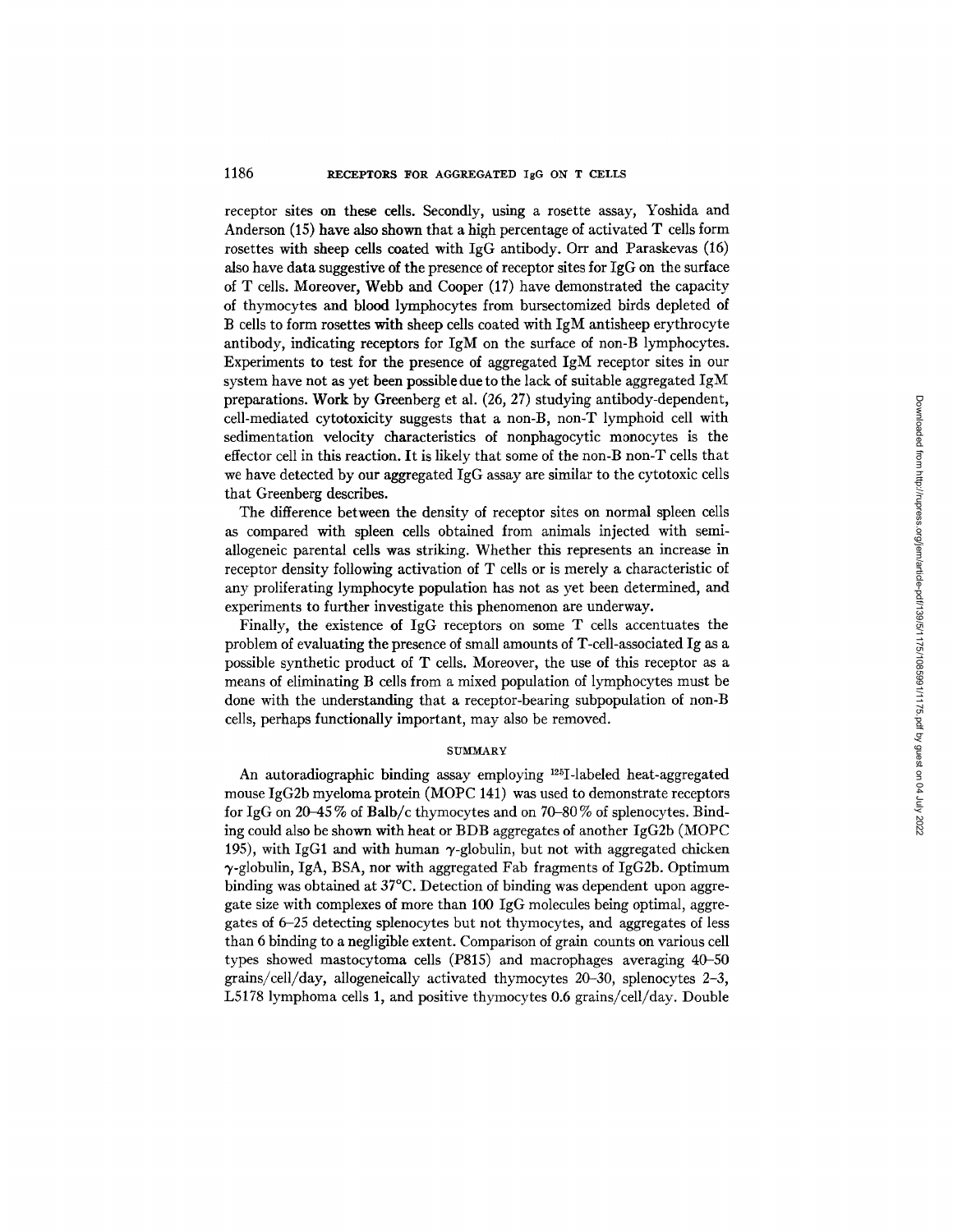### 1186 RECEPTORS FOR AGGREGATED IgG ON T CELLS

receptor sites on these cells. Secondly, using a rosette assay, Yoshida and Anderson (15) have also shown that a high percentage of activated T cells form rosettes with sheep cells coated with IgG antibody. Orr and Paraskevas (16) also have data suggestive of the presence of receptor sites for IgG on the surface of T cells. Moreover, Webb and Cooper (17) have demonstrated the capacity of thymocytes and blood lymphocytes from bursectomized birds depleted of B cells to form rosettes with sheep cells coated with IgM antisheep erythrocyte antibody, indicating receptors for IgM on the surface of non-B lymphocytes. Experiments to test for the presence of aggregated IgM receptor sites in our system have not as yet been possible due to the lack of suitable aggregated IgM preparations. Work by Greenberg et al. (26, 27) studying antibody-dependent, cell-mediated cytotoxicity suggests that a non-B, non-T lymphoid cell with sedimentation velocity characteristics of nonphagocytic monocytes is the effector cell in this reaction. It is likely that some of the non-B non-T cells that we have detected by our aggregated IgG assay are similar to the cytotoxic cells that Greenberg describes.

The difference between the density of receptor sites on normal spleen cells as compared with spleen cells obtained from animals injected with semiallogeneic parental cells was striking. Whether this represents an increase in receptor density following activation of T cells or is merely a characteristic of any proliferating lymphocyte population has not as yet been determined, and experiments to further investigate this phenomenon are underway.

Finally, the existence of IgG receptors on some T cells accentuates the problem of evaluating the presence of small amounts of T-cell-associated Ig as a possible synthetic product of T cells. Moreover, the use of this receptor as a means of eliminating B cells from a mixed population of lymphocytes must be done with the understanding that a receptor-bearing subpopulation of non-B cells, perhaps functionally important, may also be removed.

Downloaded from http://rupress.org/jem/article-pdf/139/5/1175/1085991/1175.pdf by guest on 04 July 2022 Downloaded from http://rupress.org/jem/article-pdf/139/5/1175/1085991/1175.pdf by guest on 04 July 2022

#### **SUMMARY**

An autoradiographic binding assay employing 1251-1abeled heat-aggregated mouse IgG2b myeloma protein (MOPC 141) was used to demonstrate receptors for IgG on 20-45 % of Balb/c thymocytes and on 70-80 % of splenocytes. Binding could also be shown with heat or BDB aggregates of another IgG2b (MOPC 195), with IgG1 and with human  $\gamma$ -globulin, but not with aggregated chicken  $\gamma$ -globulin, IgA, BSA, nor with aggregated Fab fragments of IgG2b. Optimum binding was obtained at 37°C. Detection of binding was dependent upon aggregate size with complexes of more than I00 IgG molecules being optimal, aggregates of 6-25 detecting splenocytes but not thymocytes, and aggregates of less than 6 binding to a negligible extent. Comparison of grain counts on various cell types showed mastocytoma cells (P815) and macrophages averaging 40-50 grains/cell/day, allogeneically activated thymocytes 20-30, splenocytes 2-3, L5178 lymphoma cells I, and positive thymocytes 0.6 grains/ce11/day. Double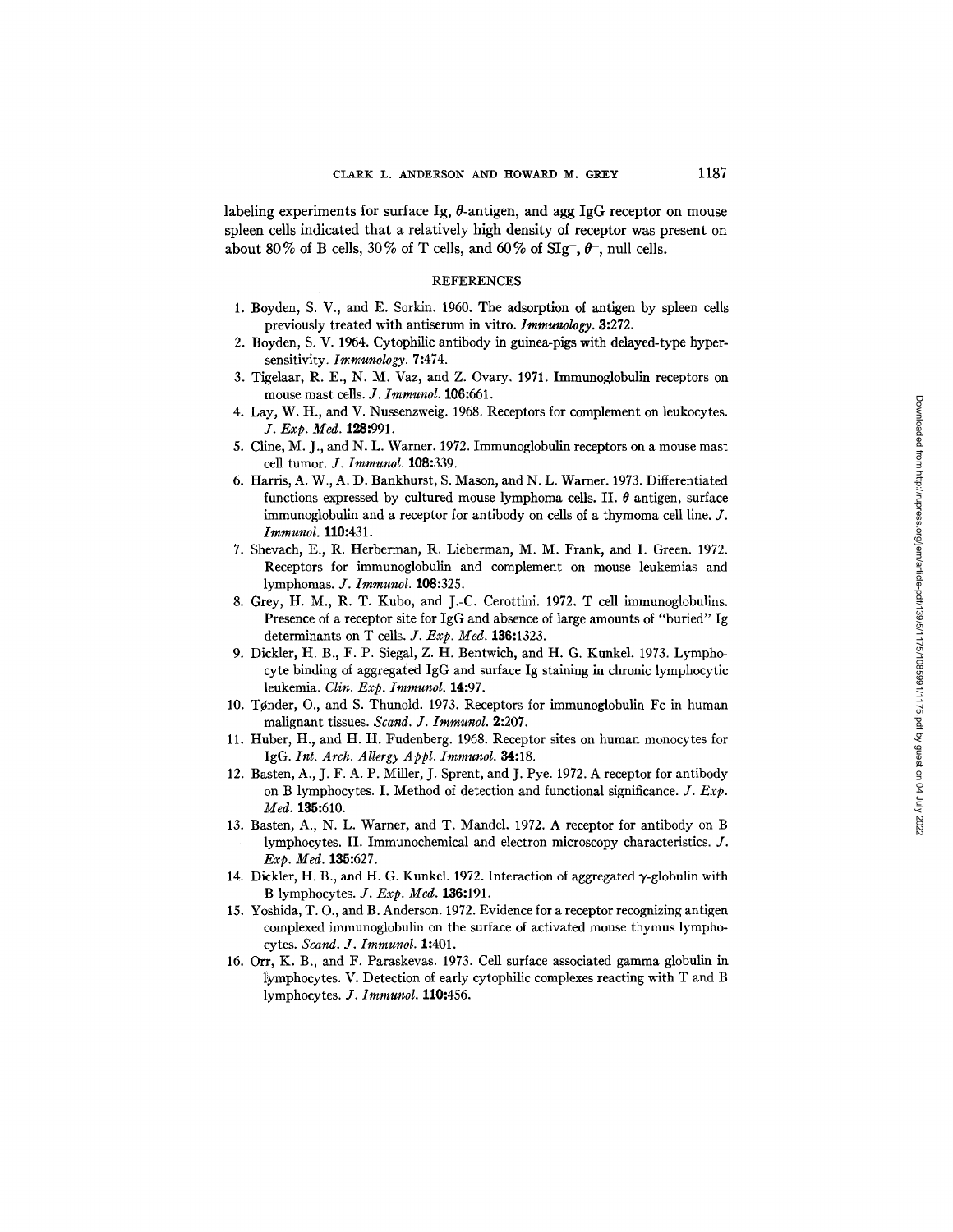labeling experiments for surface Ig,  $\theta$ -antigen, and agg IgG receptor on mouse spleen cells indicated that a relatively high density of receptor was present on about 80% of B cells, 30% of T cells, and 60% of SIg-,  $\theta$ , null cells.

### **REFERENCES**

- 1. Boyden, S. V., and E. Sorkin. 1960. The adsorption of antigen by spleen cells previously treated with antiserum in vitro. *Immunology.* 3:272.
- 2. Boyden, S. V. 1964. Cytophilic antibody in guinea-pigs with delayed-type hypersensitivity. *Immunology.* 7:474.
- 3. Tigelaar, R. E., N. M. Vaz, and Z. Ovary. 1971. Immunoglobulin receptors on mouse mast cells. *J. Immunol*. **106:**661.
- 4. Lay, W. H., and V. Nussenzweig. 1968. Receptors for complement on leukocytes. *J. Exp. Med.* 128:991.
- 5. Cline, M. J., and N. L. Warner. 1972. Immunoglobulin receptors on a mouse mast cell tumor. *J. Irnrnunol.* 108:339.
- 6. Harris, A. W., A. D. Bankhurst, S. Mason, and N. L. Warner. 1973. Differentiated functions expressed by cultured mouse lymphoma cells. II.  $\theta$  antigen, surface immunoglobulin and a receptor for antibody on cells of a thymoma cell line. J. *Immunol.* **110:**431.
- 7. Shevach, E., R. Herberman, R. Lieberman, M. M. Frank, and I. Green. 1972. Receptors for immunoglobulin and complement on mouse leukemias and lymphomas. *J. Immunol.* 108:325.
- 8. Grey, H. M., R. T. Kubo, and J.-C. Cerottini. 1972. T cell immunoglobulins. Presence of a receptor site for IgG and absence of large amounts of "buried" Ig determinants on T cells. *J. Exp. Med.* 136:1323.
- 9. Dickler, H. B., F. P. Siegal, Z. H. Bentwich, and H. G. Kunkel. 1973. Lymphocyte binding of aggregated IgG and surface Ig staining in chronic lymphocytic leukemia. *Clin. Exp. Immunol.* 14:97.
- 10. Tønder, O., and S. Thunold. 1973. Receptors for immunoglobulin Fc in human malignant tissues. *Scand. J. Immunol.* 2:207.
- 11. Huber, H., and H. H. Fudenberg. 1968. Receptor sites on human monocytes for IgG. *Int. Arch. Allergy A ppl. Imrnunol.* 34:18.
- 12. Basten, A., J. F. A. P. Miller, J. Sprent, and J. Pye. 1972. A receptor for antibody on B lymphocytes. I. Method of detection and functional significance. *J. Exp. Med.* 135:610.
- 13. Basten, A., N. L. Warner, and T. Mandel. 1972. A receptor for antibody on B lymphocytes. II. Immunochemical and electron microscopy characteristics. J. *Exp. Med.* 135:627.
- 14. Dickler, H. B., and H. G. Kunkel. 1972. Interaction of aggregated  $\gamma$ -globulin with B lymphocytes. *J. Exp. Med.* 136:191.
- 15. Yoshida, T. O., and B. Anderson. 1972. Evidence for a receptor recognizing antigen complexed immunoglobulin on the surface of activated mouse thymus lymphocytes. *Scand. J. Imrnunol.* 1:401.
- 16. Orr, K. B., and F. Paraskevas. 1973. Cell surface associated gamma globulin in lymphocytes. V. Detection of early cytophilic complexes reacting with T and B lymphocytes. *J. lmmunol.* 110:456.